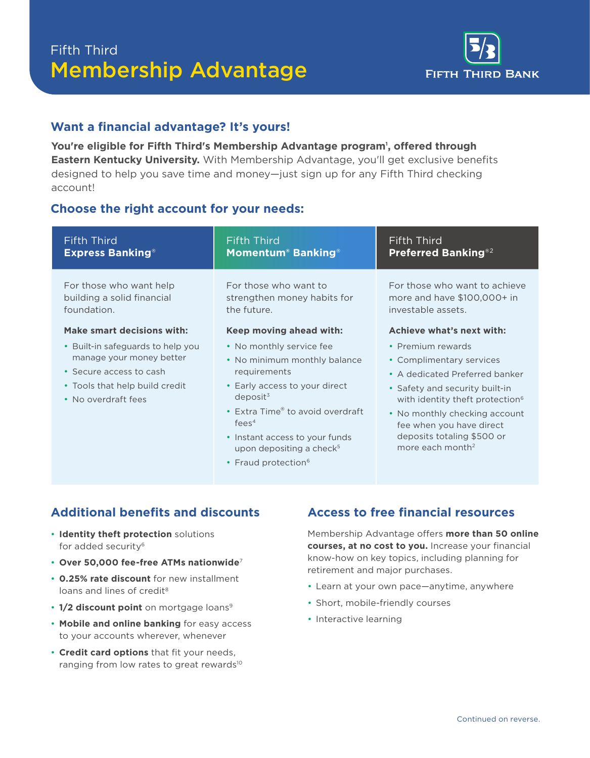# Fifth Third Membership Advantage



## **Want a financial advantage? It's yours!**

**You're eligible for Fifth Third's Membership Advantage program<sup>1</sup> , offered through Eastern Kentucky University.** With Membership Advantage, you'll get exclusive benefits designed to help you save time and money—just sign up for any Fifth Third checking account!

### **Choose the right account for your needs:**

| <b>Fifth Third</b>                                                                                                                                                              | <b>Fifth Third</b>                                                                                                                                                                                                                                                                              | <b>Fifth Third</b>                                                                                                                                                                                                                                                                                                       |
|---------------------------------------------------------------------------------------------------------------------------------------------------------------------------------|-------------------------------------------------------------------------------------------------------------------------------------------------------------------------------------------------------------------------------------------------------------------------------------------------|--------------------------------------------------------------------------------------------------------------------------------------------------------------------------------------------------------------------------------------------------------------------------------------------------------------------------|
| <b>Express Banking®</b>                                                                                                                                                         | <b>Momentum<sup>®</sup> Banking<sup>®</sup></b>                                                                                                                                                                                                                                                 | <b>Preferred Banking®2</b>                                                                                                                                                                                                                                                                                               |
| For those who want help                                                                                                                                                         | For those who want to                                                                                                                                                                                                                                                                           | For those who want to achieve                                                                                                                                                                                                                                                                                            |
| building a solid financial                                                                                                                                                      | strengthen money habits for                                                                                                                                                                                                                                                                     | more and have $$100,000+$ in                                                                                                                                                                                                                                                                                             |
| foundation.                                                                                                                                                                     | the future.                                                                                                                                                                                                                                                                                     | investable assets.                                                                                                                                                                                                                                                                                                       |
| Make smart decisions with:<br>• Built-in safeguards to help you<br>manage your money better<br>• Secure access to cash<br>• Tools that help build credit<br>• No overdraft fees | Keep moving ahead with:<br>• No monthly service fee<br>• No minimum monthly balance<br>requirements<br>• Early access to your direct<br>deposit <sup>3</sup><br>• Extra Time® to avoid overdraft<br>fees <sup>4</sup><br>• Instant access to your funds<br>upon depositing a check <sup>5</sup> | Achieve what's next with:<br>• Premium rewards<br>• Complimentary services<br>• A dedicated Preferred banker<br>• Safety and security built-in<br>with identity theft protection <sup>6</sup><br>• No monthly checking account<br>fee when you have direct<br>deposits totaling \$500 or<br>more each month <sup>2</sup> |

## **Additional benefits and discounts**

- **Identity theft protection** solutions for added security<sup>6</sup>
- **Over 50,000 fee-free ATMs nationwide**<sup>7</sup>
- **0.25% rate discount** for new installment loans and lines of credit<sup>8</sup>
- 1/2 discount point on mortgage loans<sup>9</sup>
- **Mobile and online banking** for easy access to your accounts wherever, whenever
- **Credit card options** that fit your needs, ranging from low rates to great rewards<sup>10</sup>

## **Access to free financial resources**

Membership Advantage offers **more than 50 online courses, at no cost to you.** Increase your financial know-how on key topics, including planning for retirement and major purchases.

- Learn at your own pace—anytime, anywhere
- Short, mobile-friendly courses
- Interactive learning